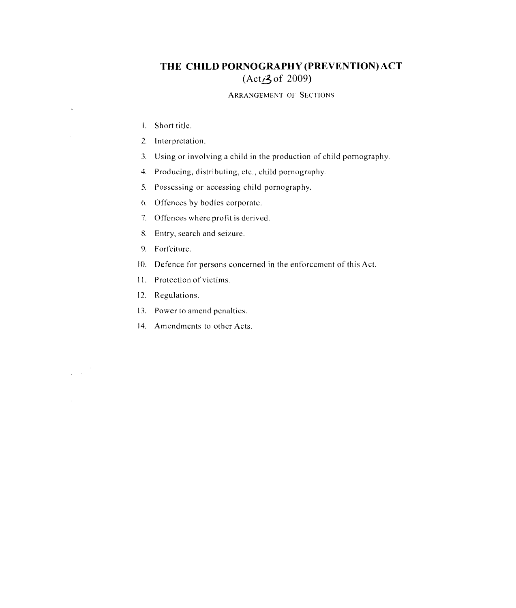## **THE CHILD PORNOGRAPHY (PREVENTION) ACT (Act<sub>2</sub>3 of 2009)**

## ARRANGEMENT OF SECTIONS

\, Short title,

 $\ddot{\phantom{1}}$ 

 $\varphi\in\mathcal{A}$ 

 $\mathcal{L}$ 

- 2, Interpretation.
- 3. Using or involving a child in the production of child pornography.
- 4. Producing, distributing, etc., child pornography.
- 5. Possessing or accessing child pornography.
- 6, Offences by bodies corporate,
- 7. Offences wherc profit is derived,
- 8. Entry, search and seizure,
- 9. Forfeiture.
- 10. Defence for persons concerned in the enforcement of this Act.
- II. Protection of victims,
- 12. Regulations,
- 13, Power to amend penalties.
- 14. Amendments to other Acts.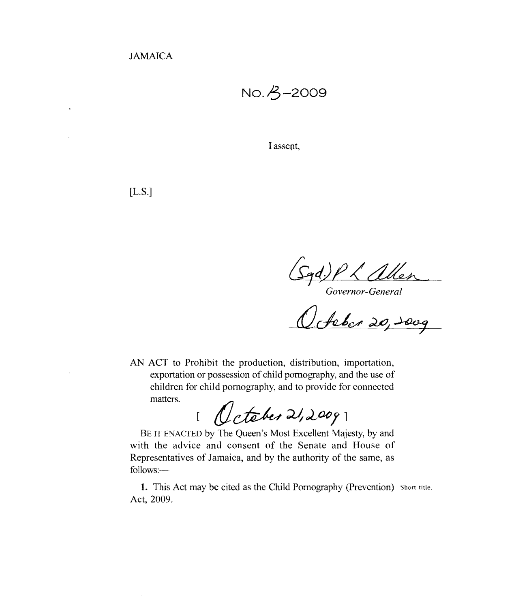JAMAICA

No.  $A$ -2009

I assent,

[L.S.]

 $(\sqrt{q}d)$   $K$  allen

*Governor-General* 

AN ACT to Prohibit the production, distribution, importation, exportation or possession of child pornography, and the use of children for child pornography, and to provide for connected matters.

 $1~$ October 21,2009]

BE IT ENACTED by The Queen's Most Excellent Majesty, by and with the advice and consent of the Senate and House of Representatives of Jamaica, and by *the* authority of *the* same, as follows:

1. This Act may be cited as the Child Pornography (Prevention) Short title. Act, 2009.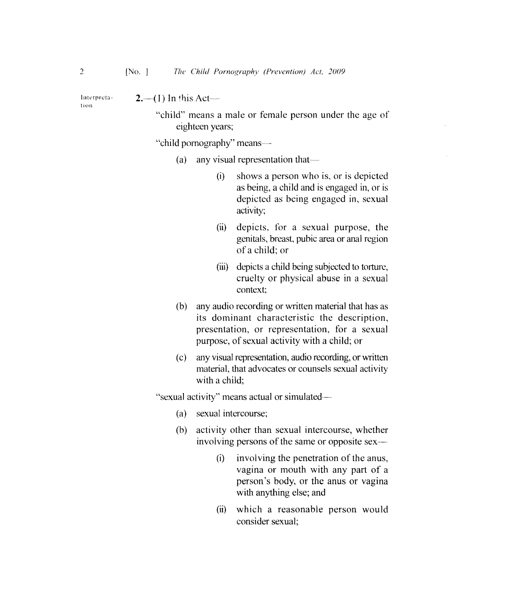Interpreta- $2,-(1)$  In this Act-

"child" means a male or female person under the age of eighteen years;

"child pornography" means~

- (a) any visual representation that—
	- (i) shows a person who is, or is depicted as being, a child and is engaged in, or is depicted as being engaged in, sexual activity;
	- (ii) depicts, for a sexual purpose, the genitals, breast, pubic area or anal region of a child; or
	- (iii) depicts a child being subjected to torture, cruelty or physical abuse in a sexual context;
- (b) any audio recording or written material that has as its dominant characteristic the description, presentation, or representation, for a sexual purpose, of sexual activity with a child; or
- (c) any visual representation, audio recording, or written material, that advocates or counsels sexual activity with a child;

"sexual activity" means actual or simulated-

- (a) sexual intercourse:
- (b) activity other than sexual intercourse, whether involving persons of the same or opposite sex
	- (i) involving the penetration of the anus, vagina or mouth with any part of a person's body, or the anus or vagina with anything else; and
	- (ii) which a reasonable person would consider sexual;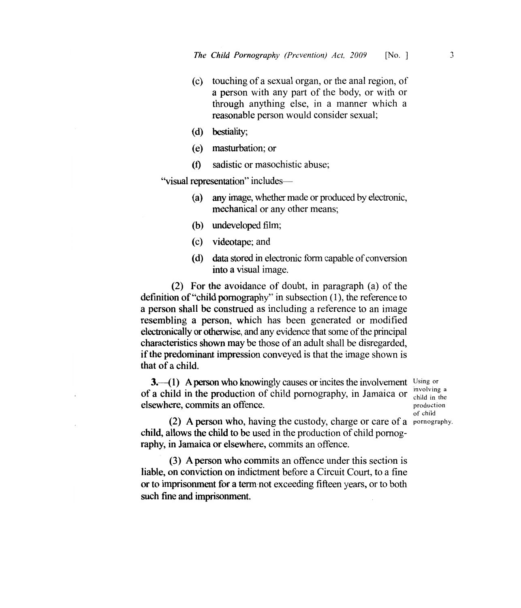- (c) touching of a sexual organ, or the anal region, of a person with any part of the body, or with or through anything else, in a manner which a reasonable person would consider sexual;
- (d) bestiality;
- (e) masturbation; or
- (f) sadistic or masochistic abuse;

"visual representation" includes

- (a) any image, whether made or produced by electronic, mechanical or any other means;
- (b) undeveloped film;
- (c) videotape; and
- (d) data stored in electronic form capable of conversion into a visual image.

(2) For the avoidance of doubt, in paragraph (a) of the definition of "child pornography" in subsection (1), the reference to a person shall be construed as including a reference to an image resembling a person, which has been generated or modified electronically or otherwise, and any evidence that some of the principal characteristics shown may be those of an adult shall be disregarded, if the predominant impression conveyed is that the image shown is that of a child.

 $3-1$ ) A person who knowingly causes or incites the involvement Using or of a child in the production of child pornography, in Jamaica or elsewhere, commits an offence.

involving a child in the production of child

(2) A person who, having the custody, charge or care of a pornography. child, allows the child to be used in the production of child pornography, in Jamaica or elsewhere, commits an offence.

(3) A person who commits an offence under this section is liable, on conviction on indictment before a Circuit Court, to a fine or to imprisonment for a term not exceeding fifteen years, or to both such fine and imprisonment.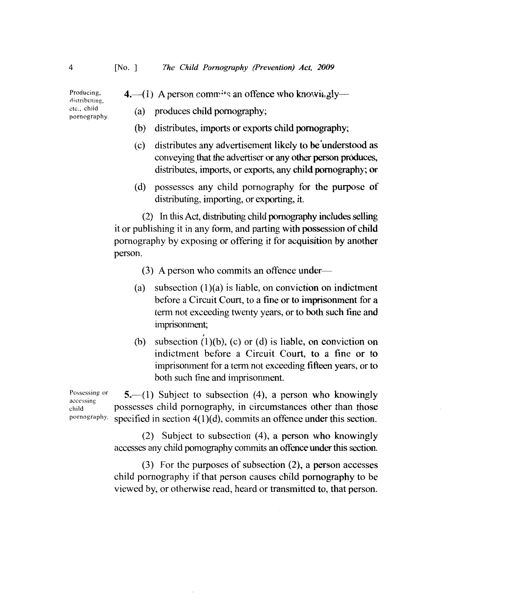Producing,  $\bf{4.}$  -(1) A person comm<sup>{*i*t</sup>s</sub> an offence who knowii.gly ---

etc., child pornography. (a) produces child pornography;

- (b) distributes, imports or exports child pornography;
- (c) distributes any advertisement likely to be'understood as conveying that the advertiser or any other person produces, distributes, imports, or exports, any child pornography; or
- (d) possesses any child pornography for the purpose of distributing, importing, or exporting, it.

(2) In this Act, distributing child pornography includes selling it or publishing it in any form, and parting with possession of child pornography by exposing or offering it for acquisition by another person.

- (3) A person who commits an offence under
- (a) subsection  $(1)(a)$  is liable, on conviction on indictment before a Circuit Court, to a tine or to imprisonment for a term not exceeding twenty years, or to both such fine and imprisonment;
- (b) subsection  $(1)(b)$ ,  $(c)$  or  $(d)$  is liable, on conviction on indictment before a Circuit Court, to a fine or to imprisonment for a term not exceeding fifteen years, or to both such fine and imprisonment.

Possessing or  $\left( \begin{array}{c} 5 \\ -1 \end{array} \right)$  Subject to subsection (4), a person who knowingly ensergences other than those possesses child pornography, in circumstances other than those pornography. specified in section 4(1 )(d), commits an offence under this section.

> (2) Subject to subsection (4), a person who knowingly accesses any child pornography commits an offence under this section.

> (3) For the purposes of subsection (2), a person accesses child pornography if that person causes child pornography to be viewed by, or otherwise read, heard or transmitted to, that person.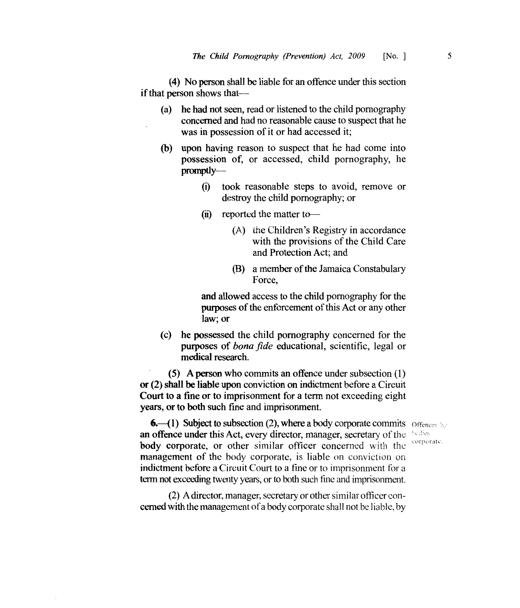(4) No person shall be liable for an ofIence under this section if that person shows that—

- (a) he had not seen, read or listened to the child pornography concerned and had no reasonable cause to suspect that he was in possession of it or had accessed it;
- (b) upon having reason to suspect that he had come into possession of, or accessed, child pornography, he promptly
	- (i) took reasonable steps to avoid, remove or destroy the child pornography; or
	- $(ii)$  reported the matter to-
		- (A) the Children's Registry in accordance with the provisions of the Child Care and Protection Act; and
		- (B) a member of the Jamaica Constabulary Force,

and allowed access to the child pornography for the purposes of the enforcement of this Act or any other law; or

(c) he possessed the child pornography concerned for the purposes of *bona fide* educational, scientific, legal or medical research.

(5) A person who commits an offence under subsection (1) or (2) shall be liable upon conviction on indictment before a Circuit Court to a fine or to imprisonment for a term not exceeding eight years, or to both such fine and imprisonment.

corporate.

**6.**  $\left( \begin{matrix} 1 \end{matrix} \right)$  Subject to subsection (2), where a body corporate commits of fences by an offence under this Act, every director, manager, secretary of the  $\rightarrow$ body corporate, or other similar officer concerned with the management of the body corporate, is liable on conviction on indictment before a Circuit Court to a fine or to imprisonment for a term not exceeding twenty years, or to both such fine and imprisonment.

(2) A director, manager, secretary or other similar officer concerned with the management ofa body corporate shall not be liable, by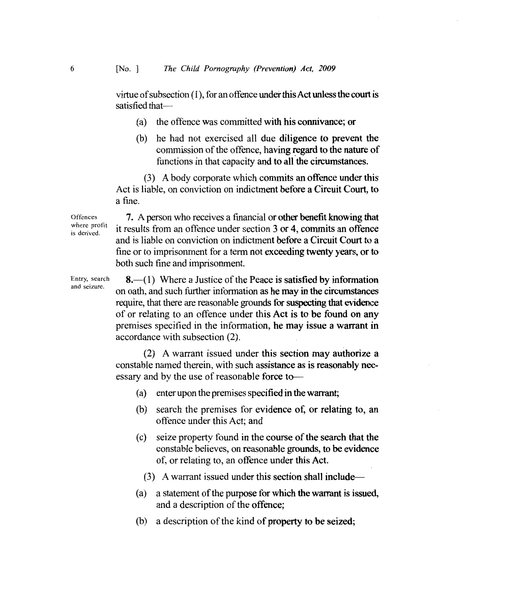virtue ofsubsection (1), for an offence under this Act unless the court is satisfied that

- (a) the offence was committed with his connivance; or
- (b) he had not exercised all due diligence to prevent the commission of the offence, having regard to the nature of functions in that capacity and to all the circumstances.

(3) A body corporate which commits an offence under this Act is liable, on conviction on indictment before a Circuit Court, to a fine.

**Offences** where profit is derived.

7. A person who receives a financial or other benefit knowing that it results from an offence under section 3 or 4, commits an offence and is liable on conviction on indictment before a Circuit Court to a fine or to imprisonment for a term not exceeding twenty years, or to both such fine and imprisonment.

'Entry, search and seizure.

 $8-(1)$  Where a Justice of the Peace is satisfied by information on oath, and such further information as he may in the circumstances require, that there are reasonable grounds for suspecting that evidence of or relating to an offence under this Act is to be found on any premises specified in the information, he may issue a warrant in accordance with subsection (2).

(2) A warrant issued under this section may authorize a constable named therein, with such assistance as is reasonably necessary and by the use of reasonable force to-

- (a) enter upon the premises specified in the warrant;
- (b) search the premises for evidence of, or relating to, an offence under this Act; and
- (c) seize property found in the course of the search that the constable believes, on reasonable grounds, to be evidence of, or relating to, an offence under this Act.
	- $(3)$  A warrant issued under this section shall include—
- (a) a statement of the purpose for which the warrant is issued, and a description of the offence;
- (b) a description of the kind of property to be seized;

6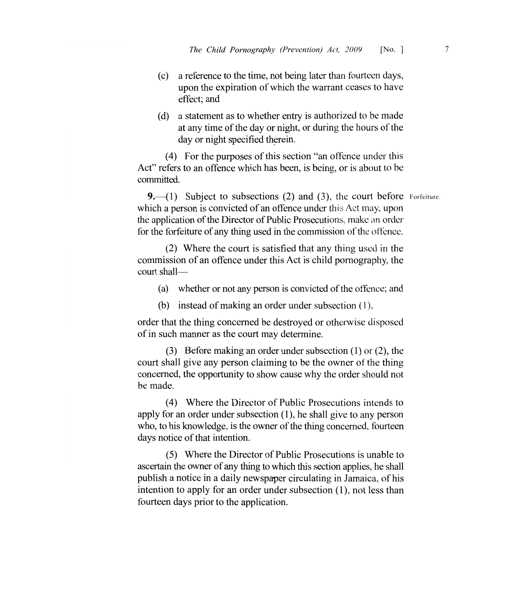- (c) a reference to the time, not being later than fourteen days, upon the expiration of which the warrant ceases to have effect; and
- (d) a statement as to whether entry is authorized to be made at any time of the day or night, or during the hours of the day or night specified therein.

(4) For the purposes of this section "an offence under this Act" refers to an offence which has been, is being, or is about to be committed.

9. $-(1)$  Subject to subsections (2) and (3), the court before Forfeiture. which a person is convicted of an offence under this Act may, upon the application of the Director of Public Prosecutions, make an order for the forfeiture of any thing used in the commission of the offence.

(2) Where the court is satisfied that any thing used in the commission of an offence under this Act is child pornography, the court shall

- (a) whether or not any person is convicted of the offence; and
- (b) instead of making an order under subsection  $(1)$ ,

order that the thing concerned be destroyed or otherwise disposed of in such manner as the court may determine.

(3) Before making an order under subsection (1) or (2), the court shall give any person claiming to be the owner of the thing concerned, the opportunity to show cause why the order should not be made.

(4) Where the Director of Public Prosecutions intcnds to apply for an order under subsection (1), he shall give to any person who, to his knowledge, is the owner of the thing concerned, fourteen days notice of that intention.

(5) Where the Director of Public Prosecutions is unable to ascertain the owner of any thing to which this section applies, he shall publish a notice in a daily newspaper circulating in Jamaica, of his intention to apply for an order under subsection (1), not less than fourteen days prior to the application.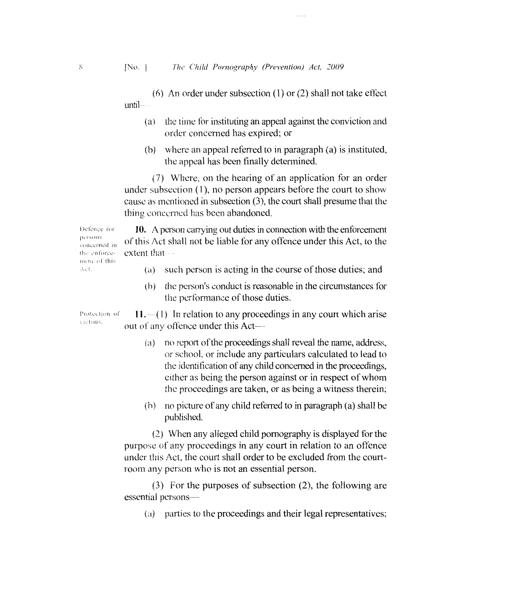(6) An order under subsection  $(1)$  or  $(2)$  shall not take effect until-

- (a) the time for instituting an appeal against the conviction and order concerned has expired; or
- (b) where an appeal referred to in paragraph  $(a)$  is instituted, the appeal has been tinally determined.

(7) Where, on the hearing of an application for an order under subsection  $(1)$ , no person appears before the court to show cause as mentioned in subsection (3), the court shall presume that the thing concerned has been abandoned.

Defence for **10.** A person carrying out duties in connection with the enforcement  $\frac{\text{persons}}{\text{concerned in}}$  of this Act shall not be liable for any offence under this Act, to the the enforce- extent that-

- (a) such person is acting in the course of those duties; and
- (b) the person's conduct is reasonable in the circumstances for the performance of those duties.

Protection of  $\mathbf{11}, -(1)$  In relation to any proceedings in any court which arise out of any offence under this Act—

- $(a)$  no report of the proceedings shall reveal the name, address, or school, or include any particulars calculated to lead to the identification of any child concerned in the proceedings, either as being the person against or in respect of whom the proceedings are taken, or as being a witness therein;
- $(b)$  no picture of any child referred to in paragraph (a) shall be published.

(2) When any alleged child pornography is displayed for the purpose of any proceedings in any court in relation to an offence under this Act, the court shall order to be excluded from the courtroom any person who is not an essential person.

(3) For the purposes of subsection (2), the following are essential persons-

 $(a)$  parties to the proceedings and their legal representatives;

ment of this Act

 $\sqrt{\rm{ctums}}$ .

 $\mathcal{S}$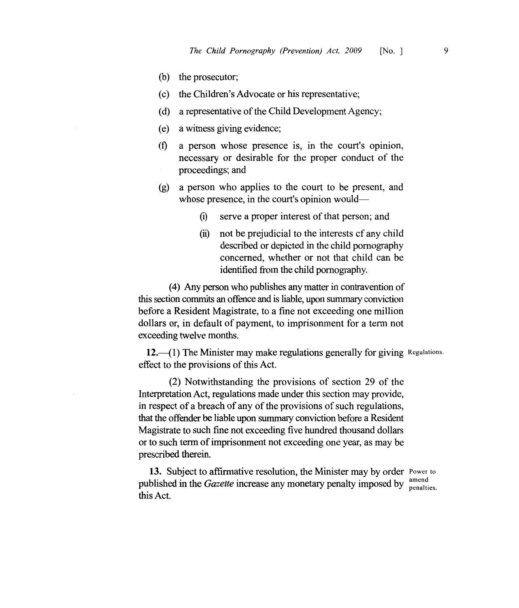- (b) the prosecutor;
- (c) the Children's Advocate or his representative;
- (d) a representative of the Child Development Agency;
- (e) a witness giving evidence;
- $(f)$  a person whose presence is, in the court's opinion, necessary or desirable for the proper conduct of the proceedings; and
- (g) a person who applies to the court to be present, and whose presence, in the court's opinion would—
	- (i) serve a proper interest of that person; and
	- (ii) not be prejudicial to the interests cf any child described or depicted in the child pornography concerned, whether or not that child can be identified from the child pornography.

(4) Any person who publishes any matter in contravention of this section commits an offence and is liable, upon summary conviction before a Resident Magistrate, to a fine not exceeding one million dollars or, in default of payment, to imprisonment for a term not exceeding twelve months.

12. $-(1)$  The Minister may make regulations generally for giving Regulations. effect to the provisions of this Act.

(2) Notwithstanding the provisions of section 29 of the Interpretation Act, regulations made under this section may provide, in respect of a breach of any of the provisions of such regulations, that the offender be liable upon summary conviction before a Resident Magistrate to such fine not exceeding five hundred thousand dollars or to such term of imprisonment not exceeding one year, as may be prescribed therein.

**13.** Subject to affirmative resolution, the Minister may by order Power to published in the *Gazette* increase any monetary penalty imposed by  $\frac{\text{amena}}{\text{penalties}}$ . this Act.